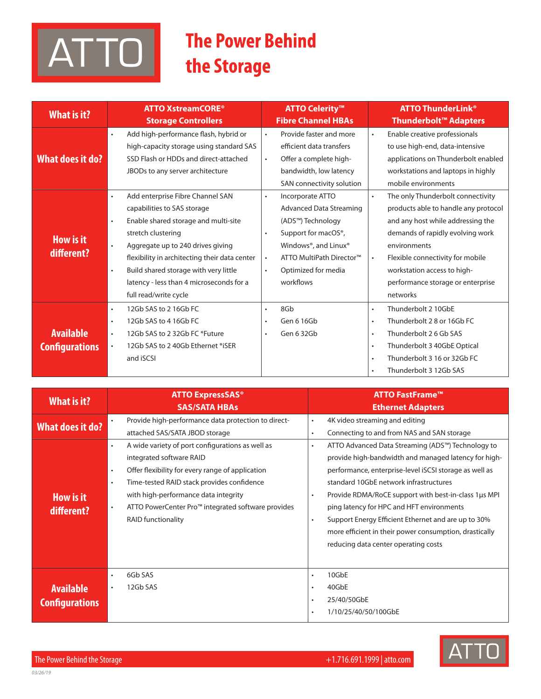# ATTO

## **The Power Behind** the Storage

| What is it?                               | <b>ATTO XstreamCORE<sup>®</sup></b><br><b>Storage Controllers</b>                                                                                                                                                                                                                                                                                                                     | <b>ATTO Celerity<sup>™</sup></b><br><b>Fibre Channel HBAs</b>                                                                                                                                                                                           | <b>ATTO ThunderLink<sup>®</sup></b><br>Thunderbolt <sup>™</sup> Adapters                                                                                                                                                                                                                                         |
|-------------------------------------------|---------------------------------------------------------------------------------------------------------------------------------------------------------------------------------------------------------------------------------------------------------------------------------------------------------------------------------------------------------------------------------------|---------------------------------------------------------------------------------------------------------------------------------------------------------------------------------------------------------------------------------------------------------|------------------------------------------------------------------------------------------------------------------------------------------------------------------------------------------------------------------------------------------------------------------------------------------------------------------|
| What does it do?                          | Add high-performance flash, hybrid or<br>$\bullet$<br>high-capacity storage using standard SAS<br>SSD Flash or HDDs and direct-attached<br>JBODs to any server architecture                                                                                                                                                                                                           | Provide faster and more<br>$\bullet$<br>efficient data transfers<br>Offer a complete high-<br>$\bullet$<br>bandwidth, low latency<br>SAN connectivity solution                                                                                          | Enable creative professionals<br>$\bullet$<br>to use high-end, data-intensive<br>applications on Thunderbolt enabled<br>workstations and laptops in highly<br>mobile environments                                                                                                                                |
| How is it<br>different?                   | Add enterprise Fibre Channel SAN<br>$\bullet$<br>capabilities to SAS storage<br>Enable shared storage and multi-site<br>$\bullet$<br>stretch clustering<br>Aggregate up to 240 drives giving<br>$\bullet$<br>flexibility in architecting their data center<br>Build shared storage with very little<br>$\bullet$<br>latency - less than 4 microseconds for a<br>full read/write cycle | Incorporate ATTO<br>$\bullet$<br><b>Advanced Data Streaming</b><br>(ADS™) Technology<br>Support for macOS <sup>®</sup> ,<br>$\bullet$<br>Windows®, and Linux®<br>ATTO MultiPath Director™<br>$\bullet$<br>Optimized for media<br>$\bullet$<br>workflows | The only Thunderbolt connectivity<br>$\bullet$<br>products able to handle any protocol<br>and any host while addressing the<br>demands of rapidly evolving work<br>environments<br>Flexible connectivity for mobile<br>$\bullet$<br>workstation access to high-<br>performance storage or enterprise<br>networks |
| <b>Available</b><br><b>Configurations</b> | 12Gb SAS to 2 16Gb FC<br>$\bullet$<br>12Gb SAS to 4 16Gb FC<br>$\bullet$<br>12Gb SAS to 2 32Gb FC *Future<br>$\bullet$<br>12Gb SAS to 2 40Gb Ethernet *iSER<br>$\bullet$<br>and iSCSI                                                                                                                                                                                                 | 8Gb<br>$\bullet$<br>Gen 6 16Gb<br>$\bullet$<br>Gen 6 32Gb<br>$\bullet$                                                                                                                                                                                  | Thunderbolt 2 10GbE<br>$\bullet$<br>Thunderbolt 28 or 16Gb FC<br>$\bullet$<br>Thunderbolt 2 6 Gb SAS<br>$\bullet$<br>Thunderbolt 3 40GbE Optical<br>$\bullet$<br>Thunderbolt 3 16 or 32Gb FC<br>$\bullet$<br>Thunderbolt 3 12Gb SAS                                                                              |

| What is it?                               | <b>ATTO ExpressSAS<sup>®</sup></b><br><b>SAS/SATA HBAs</b>                                                                                                                                                                                                                                   | <b>ATTO FastFrame™</b><br><b>Ethernet Adapters</b>                                                                                                                                                                                                                                                                                                                                                                                               |
|-------------------------------------------|----------------------------------------------------------------------------------------------------------------------------------------------------------------------------------------------------------------------------------------------------------------------------------------------|--------------------------------------------------------------------------------------------------------------------------------------------------------------------------------------------------------------------------------------------------------------------------------------------------------------------------------------------------------------------------------------------------------------------------------------------------|
| What does it do?                          | Provide high-performance data protection to direct-<br>$\bullet$<br>attached SAS/SATA JBOD storage<br>A wide variety of port configurations as well as<br>$\bullet$                                                                                                                          | 4K video streaming and editing<br>$\bullet$<br>Connecting to and from NAS and SAN storage<br>$\bullet$<br>ATTO Advanced Data Streaming (ADS™) Technology to<br>$\bullet$                                                                                                                                                                                                                                                                         |
| <b>How is it</b><br>different?            | integrated software RAID<br>Offer flexibility for every range of application<br>$\bullet$<br>Time-tested RAID stack provides confidence<br>$\bullet$<br>with high-performance data integrity<br>ATTO PowerCenter Pro™ integrated software provides<br>$\bullet$<br><b>RAID functionality</b> | provide high-bandwidth and managed latency for high-<br>performance, enterprise-level iSCSI storage as well as<br>standard 10GbE network infrastructures<br>Provide RDMA/RoCE support with best-in-class 1µs MPI<br>$\bullet$<br>ping latency for HPC and HFT environments<br>Support Energy Efficient Ethernet and are up to 30%<br>$\bullet$<br>more efficient in their power consumption, drastically<br>reducing data center operating costs |
| <b>Available</b><br><b>Configurations</b> | 6Gb SAS<br>$\bullet$<br>12Gb SAS<br>$\bullet$                                                                                                                                                                                                                                                | 10GbE<br>$\bullet$<br>40GbE<br>$\bullet$<br>25/40/50GbE<br>$\bullet$<br>1/10/25/40/50/100GbE<br>$\bullet$                                                                                                                                                                                                                                                                                                                                        |